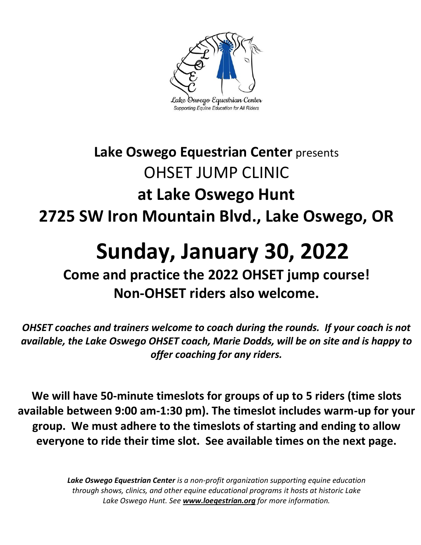

# **Lake Oswego Equestrian Center** presents OHSET JUMP CLINIC **at Lake Oswego Hunt 2725 SW Iron Mountain Blvd., Lake Oswego, OR**

# **Sunday, January 30, 2022**

# **Come and practice the 2022 OHSET jump course! Non-OHSET riders also welcome.**

*OHSET coaches and trainers welcome to coach during the rounds. If your coach is not available, the Lake Oswego OHSET coach, Marie Dodds, will be on site and is happy to offer coaching for any riders.* 

**We will have 50-minute timeslots for groups of up to 5 riders (time slots available between 9:00 am-1:30 pm). The timeslot includes warm-up for your group. We must adhere to the timeslots of starting and ending to allow everyone to ride their time slot. See available times on the next page.** 

> *Lake Oswego Equestrian Center is a non-profit organization supporting equine education through shows, clinics, and other equine educational programs it hosts at historic Lake Lake Oswego Hunt. See [www.loeqestrian.org](http://www.loeqestrian.org/) for more information.*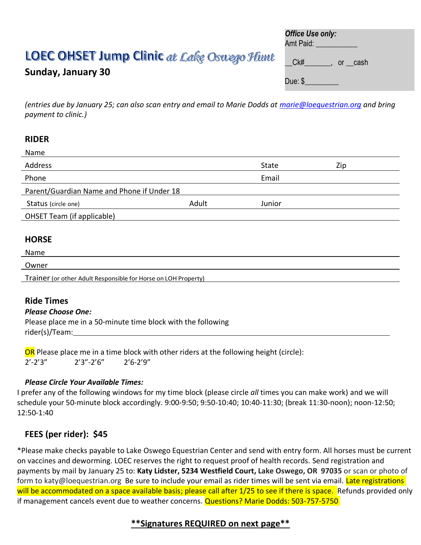# LOEC OHSET Jump Clinic at Lake Oswego Hiunt

## **Sunday, January 30**

| Office Use only: |  |
|------------------|--|
| Amt Paid:        |  |
|                  |  |

Ck# . or cash

Due: \$\_\_\_\_\_\_\_\_\_

*(entries due by January 25; can also scan entry and email to Marie Dodds at [marie@loequestrian.org](mailto:marie@loequestrian.org) and bring payment to clinic.)*

#### **RIDER**

| Name                                       |       |        |     |
|--------------------------------------------|-------|--------|-----|
| Address                                    |       | State  | Zip |
| Phone                                      |       | Email  |     |
| Parent/Guardian Name and Phone if Under 18 |       |        |     |
| Status (circle one)                        | Adult | Junior |     |
| OHSET Team (if applicable)                 |       |        |     |
|                                            |       |        |     |
| <b>HORSE</b>                               |       |        |     |

#### Name

## Owner

Trainer (or other Adult Responsible for Horse on LOH Property)

## **Ride Times**

#### *Please Choose One:*

Please place me in a 50-minute time block with the following rider(s)/Team:

OR Please place me in a time block with other riders at the following height (circle):  $2'$ -2'3"  $2'3"$ -2'6"  $2'6$ -2'9"

#### *Please Circle Your Available Times:*

I prefer any of the following windows for my time block (please circle *all* times you can make work) and we will schedule your 50-minute block accordingly. 9:00-9:50; 9:50-10:40; 10:40-11:30; (break 11:30-noon); noon-12:50; 12:50-1:40

## **FEES (per rider): \$45**

\*Please make checks payable to Lake Oswego Equestrian Center and send with entry form. All horses must be current on vaccines and deworming. LOEC reserves the right to request proof of health records. Send registration and payments by mail by January 25 to: **Katy Lidster, 5234 Westfield Court, Lake Oswego, OR 97035** or scan or photo of form to katy@loequestrian.org Be sure to include your email as rider times will be sent via email. Late registrations will be accommodated on a space available basis; please call after 1/25 to see if there is space. Refunds provided only if management cancels event due to weather concerns. Questions? Marie Dodds: 503-757-5750

## **\*\*Signatures REQUIRED on next page\*\***